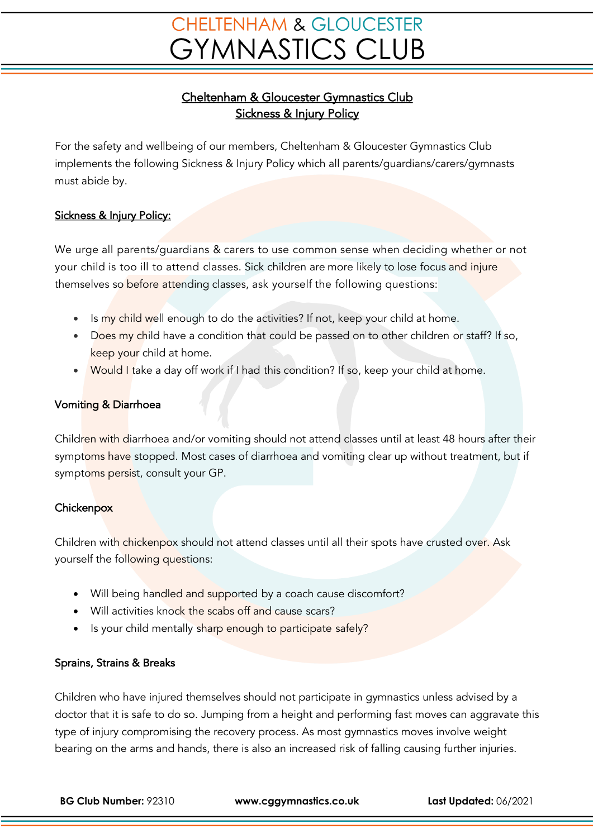# **CHELTENHAM & GLOUCESTER GYMNASTICS CLUB**

## Cheltenham & Gloucester Gymnastics Club Sickness & Injury Policy

For the safety and wellbeing of our members, Cheltenham & Gloucester Gymnastics Club implements the following Sickness & Injury Policy which all parents/guardians/carers/gymnasts must abide by.

### Sickness & Injury Policy:

We urge all parents/guardians & carers to use common sense when deciding whether or not your child is too ill to attend classes. Sick children are more likely to lose focus and injure themselves so before attending classes, ask yourself the following questions:

- Is my child well enough to do the activities? If not, keep your child at home.
- Does my child have a condition that could be passed on to other children or staff? If so, keep your child at home.
- Would I take a day off work if I had this condition? If so, keep your child at home.

#### Vomiting & Diarrhoea

Children with diarrhoea and/or vomiting should not attend classes until at least 48 hours after their symptoms have stopped. Most cases of diarrhoea and vomiting clear up without treatment, but if symptoms persist, consult your GP.

#### **Chickenpox**

Children with chickenpox should not attend classes until all their spots have crusted over. Ask yourself the following questions:

- Will being handled and supported by a coach cause discomfort?
- Will activities knock the scabs off and cause scars?
- Is your child mentally sharp enough to participate safely?

### Sprains, Strains & Breaks

Children who have injured themselves should not participate in gymnastics unless advised by a doctor that it is safe to do so. Jumping from a height and performing fast moves can aggravate this type of injury compromising the recovery process. As most gymnastics moves involve weight bearing on the arms and hands, there is also an increased risk of falling causing further injuries.

**BG Club Number:** 92310 **www.cggymnastics.co.uk Last Updated:** 06/2021